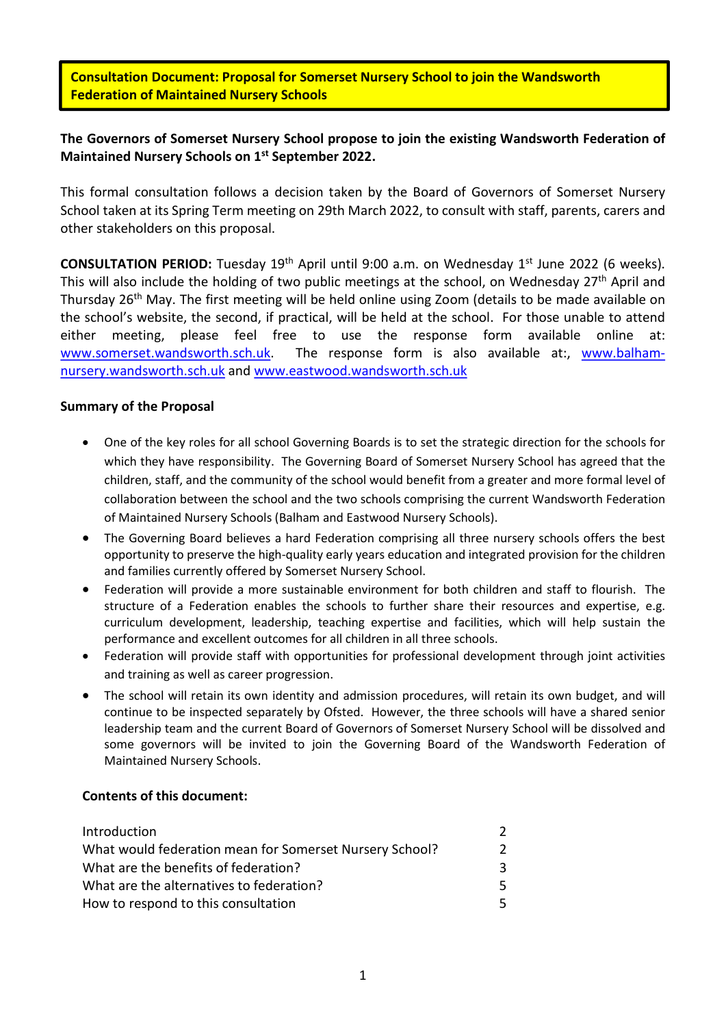Consultation Document: Proposal for Somerset Nursery School to join the Wandsworth Federation of Maintained Nursery Schools

# The Governors of Somerset Nursery School propose to join the existing Wandsworth Federation of Maintained Nursery Schools on 1st September 2022.

This formal consultation follows a decision taken by the Board of Governors of Somerset Nursery School taken at its Spring Term meeting on 29th March 2022, to consult with staff, parents, carers and other stakeholders on this proposal.

**CONSULTATION PERIOD:** Tuesday  $19<sup>th</sup>$  April until 9:00 a.m. on Wednesday  $1<sup>st</sup>$  June 2022 (6 weeks). This will also include the holding of two public meetings at the school, on Wednesday 27<sup>th</sup> April and Thursday 26<sup>th</sup> May. The first meeting will be held online using Zoom (details to be made available on the school's website, the second, if practical, will be held at the school. For those unable to attend either meeting, please feel free to use the response form available online at: www.somerset.wandsworth.sch.uk. The response form is also available at:, www.balhamnursery.wandsworth.sch.uk and www.eastwood.wandsworth.sch.uk

# Summary of the Proposal

- One of the key roles for all school Governing Boards is to set the strategic direction for the schools for which they have responsibility. The Governing Board of Somerset Nursery School has agreed that the children, staff, and the community of the school would benefit from a greater and more formal level of collaboration between the school and the two schools comprising the current Wandsworth Federation of Maintained Nursery Schools (Balham and Eastwood Nursery Schools).
- The Governing Board believes a hard Federation comprising all three nursery schools offers the best opportunity to preserve the high-quality early years education and integrated provision for the children and families currently offered by Somerset Nursery School.
- Federation will provide a more sustainable environment for both children and staff to flourish. The structure of a Federation enables the schools to further share their resources and expertise, e.g. curriculum development, leadership, teaching expertise and facilities, which will help sustain the performance and excellent outcomes for all children in all three schools.
- Federation will provide staff with opportunities for professional development through joint activities and training as well as career progression.
- The school will retain its own identity and admission procedures, will retain its own budget, and will continue to be inspected separately by Ofsted. However, the three schools will have a shared senior leadership team and the current Board of Governors of Somerset Nursery School will be dissolved and some governors will be invited to join the Governing Board of the Wandsworth Federation of Maintained Nursery Schools.

### Contents of this document:

| Introduction                                            |   |
|---------------------------------------------------------|---|
| What would federation mean for Somerset Nursery School? |   |
| What are the benefits of federation?                    | 3 |
| What are the alternatives to federation?                | 5 |
| How to respond to this consultation                     |   |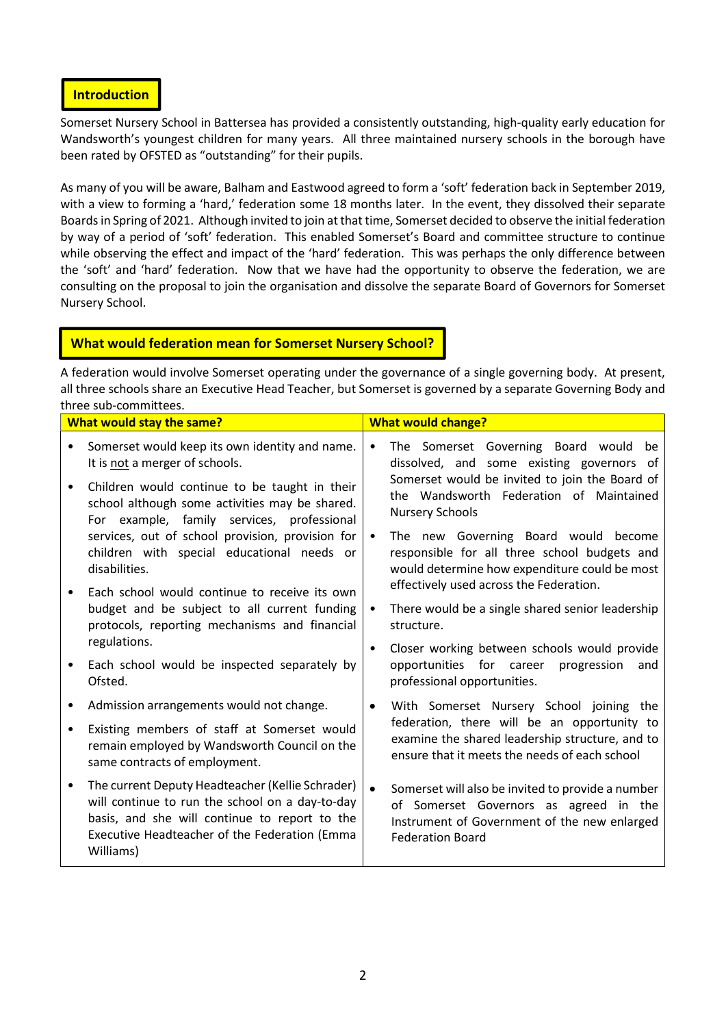### **Introduction**

Somerset Nursery School in Battersea has provided a consistently outstanding, high-quality early education for Wandsworth's youngest children for many years. All three maintained nursery schools in the borough have been rated by OFSTED as "outstanding" for their pupils.

As many of you will be aware, Balham and Eastwood agreed to form a 'soft' federation back in September 2019, with a view to forming a 'hard,' federation some 18 months later. In the event, they dissolved their separate Boards in Spring of 2021. Although invited to join at that time, Somerset decided to observe the initial federation by way of a period of 'soft' federation. This enabled Somerset's Board and committee structure to continue while observing the effect and impact of the 'hard' federation. This was perhaps the only difference between the 'soft' and 'hard' federation. Now that we have had the opportunity to observe the federation, we are consulting on the proposal to join the organisation and dissolve the separate Board of Governors for Somerset Nursery School.

# What would federation mean for Somerset Nursery School?

A federation would involve Somerset operating under the governance of a single governing body. At present, all three schools share an Executive Head Teacher, but Somerset is governed by a separate Governing Body and three sub-committees.

| <b>What would stay the same?</b> |                                                                                                                                                                                                                    | <b>What would change?</b> |                                                                                                                                                                                  |  |
|----------------------------------|--------------------------------------------------------------------------------------------------------------------------------------------------------------------------------------------------------------------|---------------------------|----------------------------------------------------------------------------------------------------------------------------------------------------------------------------------|--|
|                                  | Somerset would keep its own identity and name.<br>It is not a merger of schools.                                                                                                                                   | $\bullet$                 | The Somerset Governing Board would be<br>dissolved, and some existing governors of                                                                                               |  |
| $\bullet$                        | Children would continue to be taught in their<br>school although some activities may be shared.<br>For example, family services, professional                                                                      | <b>Nursery Schools</b>    | Somerset would be invited to join the Board of<br>the Wandsworth Federation of Maintained                                                                                        |  |
|                                  | services, out of school provision, provision for<br>children with special educational needs or<br>disabilities.                                                                                                    | $\bullet$                 | The new Governing Board would become<br>responsible for all three school budgets and<br>would determine how expenditure could be most<br>effectively used across the Federation. |  |
|                                  | Each school would continue to receive its own<br>budget and be subject to all current funding<br>protocols, reporting mechanisms and financial                                                                     | $\bullet$                 | There would be a single shared senior leadership<br>structure.                                                                                                                   |  |
| $\bullet$                        | regulations.<br>Each school would be inspected separately by<br>Ofsted.                                                                                                                                            | $\bullet$                 | Closer working between schools would provide<br>opportunities for career progression<br>and<br>professional opportunities.                                                       |  |
|                                  | Admission arrangements would not change.                                                                                                                                                                           | $\bullet$                 | With Somerset Nursery School joining the                                                                                                                                         |  |
| ٠                                | Existing members of staff at Somerset would<br>remain employed by Wandsworth Council on the<br>same contracts of employment.                                                                                       |                           | federation, there will be an opportunity to<br>examine the shared leadership structure, and to<br>ensure that it meets the needs of each school                                  |  |
| $\bullet$                        | The current Deputy Headteacher (Kellie Schrader)<br>will continue to run the school on a day-to-day<br>basis, and she will continue to report to the<br>Executive Headteacher of the Federation (Emma<br>Williams) | $\bullet$                 | Somerset will also be invited to provide a number<br>of Somerset Governors as agreed in the<br>Instrument of Government of the new enlarged<br><b>Federation Board</b>           |  |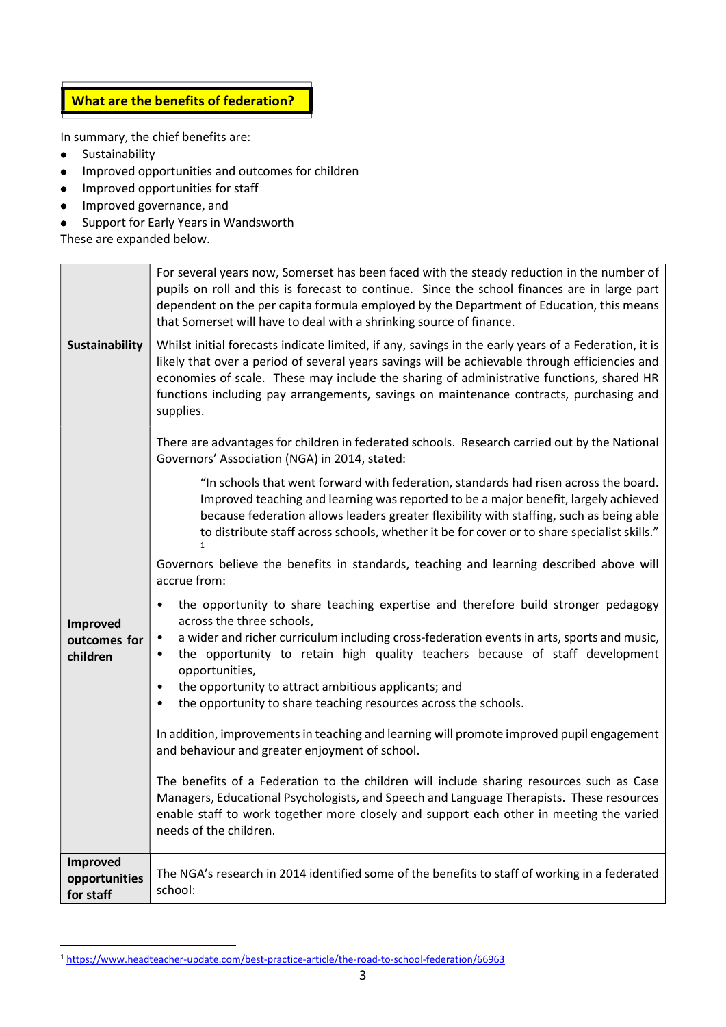

In summary, the chief benefits are:

Sustainability  $\bullet$ 

l

- Improved opportunities and outcomes for children  $\bullet$
- Improved opportunities for staff  $\bullet$
- Improved governance, and  $\bullet$
- Support for Early Years in Wandsworth  $\bullet$

These are expanded below.

| <b>Sustainability</b>                  | For several years now, Somerset has been faced with the steady reduction in the number of<br>pupils on roll and this is forecast to continue. Since the school finances are in large part<br>dependent on the per capita formula employed by the Department of Education, this means<br>that Somerset will have to deal with a shrinking source of finance.<br>Whilst initial forecasts indicate limited, if any, savings in the early years of a Federation, it is<br>likely that over a period of several years savings will be achievable through efficiencies and<br>economies of scale. These may include the sharing of administrative functions, shared HR<br>functions including pay arrangements, savings on maintenance contracts, purchasing and<br>supplies.                                                                                                                                                                                                                                                                                                                                                                                                                                                                                                                                                                                                                                                                                                                                                                                                                                    |
|----------------------------------------|-------------------------------------------------------------------------------------------------------------------------------------------------------------------------------------------------------------------------------------------------------------------------------------------------------------------------------------------------------------------------------------------------------------------------------------------------------------------------------------------------------------------------------------------------------------------------------------------------------------------------------------------------------------------------------------------------------------------------------------------------------------------------------------------------------------------------------------------------------------------------------------------------------------------------------------------------------------------------------------------------------------------------------------------------------------------------------------------------------------------------------------------------------------------------------------------------------------------------------------------------------------------------------------------------------------------------------------------------------------------------------------------------------------------------------------------------------------------------------------------------------------------------------------------------------------------------------------------------------------|
| Improved<br>outcomes for<br>children   | There are advantages for children in federated schools. Research carried out by the National<br>Governors' Association (NGA) in 2014, stated:<br>"In schools that went forward with federation, standards had risen across the board.<br>Improved teaching and learning was reported to be a major benefit, largely achieved<br>because federation allows leaders greater flexibility with staffing, such as being able<br>to distribute staff across schools, whether it be for cover or to share specialist skills."<br>Governors believe the benefits in standards, teaching and learning described above will<br>accrue from:<br>the opportunity to share teaching expertise and therefore build stronger pedagogy<br>$\bullet$<br>across the three schools,<br>a wider and richer curriculum including cross-federation events in arts, sports and music,<br>$\bullet$<br>the opportunity to retain high quality teachers because of staff development<br>$\bullet$<br>opportunities,<br>the opportunity to attract ambitious applicants; and<br>$\bullet$<br>the opportunity to share teaching resources across the schools.<br>$\bullet$<br>In addition, improvements in teaching and learning will promote improved pupil engagement<br>and behaviour and greater enjoyment of school.<br>The benefits of a Federation to the children will include sharing resources such as Case<br>Managers, Educational Psychologists, and Speech and Language Therapists. These resources<br>enable staff to work together more closely and support each other in meeting the varied<br>needs of the children. |
| Improved<br>opportunities<br>for staff | The NGA's research in 2014 identified some of the benefits to staff of working in a federated<br>school:                                                                                                                                                                                                                                                                                                                                                                                                                                                                                                                                                                                                                                                                                                                                                                                                                                                                                                                                                                                                                                                                                                                                                                                                                                                                                                                                                                                                                                                                                                    |

<sup>1</sup> https://www.headteacher-update.com/best-practice-article/the-road-to-school-federation/66963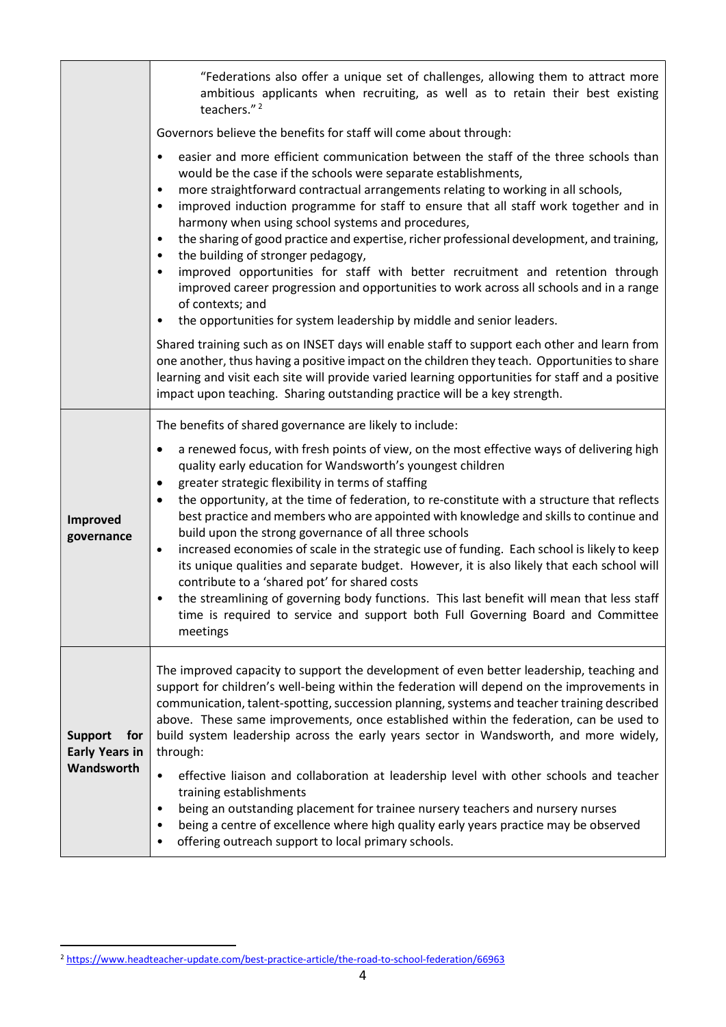|                                                              | "Federations also offer a unique set of challenges, allowing them to attract more<br>ambitious applicants when recruiting, as well as to retain their best existing<br>teachers." <sup>2</sup><br>Governors believe the benefits for staff will come about through:                                                                                                                                                                                                                                                                                                                                                                                                                                                                                                                                                                                                                                                                                          |
|--------------------------------------------------------------|--------------------------------------------------------------------------------------------------------------------------------------------------------------------------------------------------------------------------------------------------------------------------------------------------------------------------------------------------------------------------------------------------------------------------------------------------------------------------------------------------------------------------------------------------------------------------------------------------------------------------------------------------------------------------------------------------------------------------------------------------------------------------------------------------------------------------------------------------------------------------------------------------------------------------------------------------------------|
|                                                              |                                                                                                                                                                                                                                                                                                                                                                                                                                                                                                                                                                                                                                                                                                                                                                                                                                                                                                                                                              |
|                                                              | easier and more efficient communication between the staff of the three schools than<br>$\bullet$<br>would be the case if the schools were separate establishments,<br>more straightforward contractual arrangements relating to working in all schools,<br>$\bullet$<br>improved induction programme for staff to ensure that all staff work together and in<br>$\bullet$<br>harmony when using school systems and procedures,<br>the sharing of good practice and expertise, richer professional development, and training,<br>$\bullet$<br>the building of stronger pedagogy,<br>$\bullet$<br>improved opportunities for staff with better recruitment and retention through<br>$\bullet$<br>improved career progression and opportunities to work across all schools and in a range<br>of contexts; and<br>the opportunities for system leadership by middle and senior leaders.<br>$\bullet$                                                             |
|                                                              | Shared training such as on INSET days will enable staff to support each other and learn from<br>one another, thus having a positive impact on the children they teach. Opportunities to share<br>learning and visit each site will provide varied learning opportunities for staff and a positive<br>impact upon teaching. Sharing outstanding practice will be a key strength.                                                                                                                                                                                                                                                                                                                                                                                                                                                                                                                                                                              |
|                                                              | The benefits of shared governance are likely to include:                                                                                                                                                                                                                                                                                                                                                                                                                                                                                                                                                                                                                                                                                                                                                                                                                                                                                                     |
| Improved<br>governance                                       | a renewed focus, with fresh points of view, on the most effective ways of delivering high<br>$\bullet$<br>quality early education for Wandsworth's youngest children<br>greater strategic flexibility in terms of staffing<br>$\bullet$<br>the opportunity, at the time of federation, to re-constitute with a structure that reflects<br>$\bullet$<br>best practice and members who are appointed with knowledge and skills to continue and<br>build upon the strong governance of all three schools<br>increased economies of scale in the strategic use of funding. Each school is likely to keep<br>$\bullet$<br>its unique qualities and separate budget. However, it is also likely that each school will<br>contribute to a 'shared pot' for shared costs<br>the streamlining of governing body functions. This last benefit will mean that less staff<br>time is required to service and support both Full Governing Board and Committee<br>meetings |
| <b>Support</b><br>for<br><b>Early Years in</b><br>Wandsworth | The improved capacity to support the development of even better leadership, teaching and<br>support for children's well-being within the federation will depend on the improvements in<br>communication, talent-spotting, succession planning, systems and teacher training described<br>above. These same improvements, once established within the federation, can be used to<br>build system leadership across the early years sector in Wandsworth, and more widely,<br>through:<br>effective liaison and collaboration at leadership level with other schools and teacher<br>$\bullet$<br>training establishments<br>being an outstanding placement for trainee nursery teachers and nursery nurses<br>$\bullet$<br>being a centre of excellence where high quality early years practice may be observed<br>٠<br>offering outreach support to local primary schools.<br>٠                                                                               |

l

<sup>2</sup> https://www.headteacher-update.com/best-practice-article/the-road-to-school-federation/66963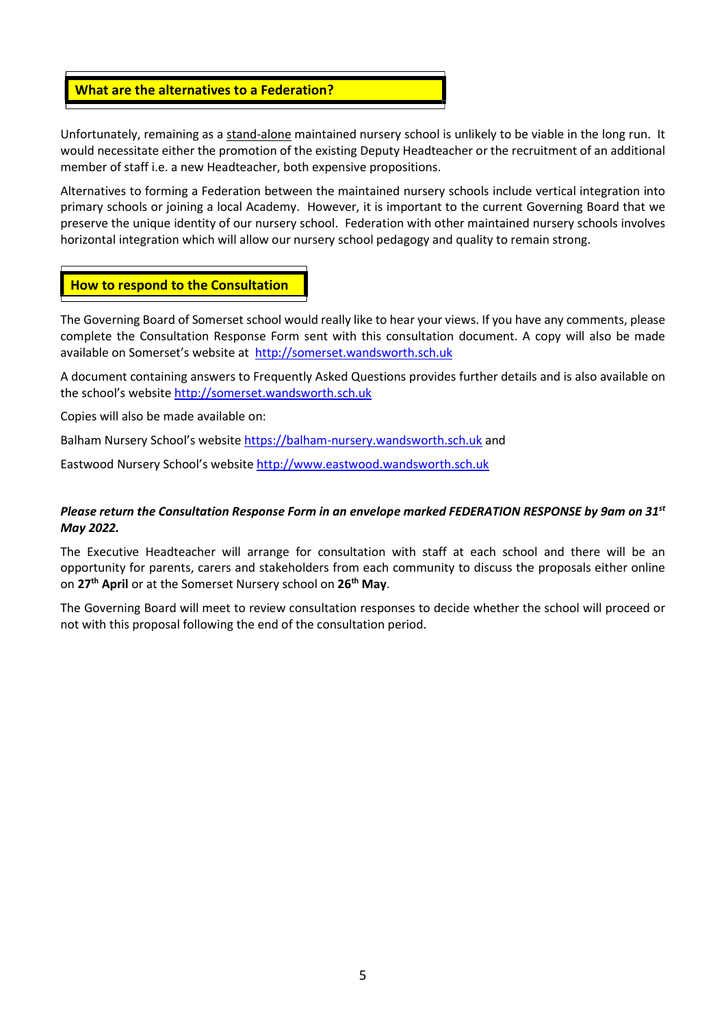### What are the alternatives to a Federation?

Unfortunately, remaining as a stand-alone maintained nursery school is unlikely to be viable in the long run. It would necessitate either the promotion of the existing Deputy Headteacher or the recruitment of an additional member of staff i.e. a new Headteacher, both expensive propositions.

Alternatives to forming a Federation between the maintained nursery schools include vertical integration into primary schools or joining a local Academy. However, it is important to the current Governing Board that we preserve the unique identity of our nursery school. Federation with other maintained nursery schools involves horizontal integration which will allow our nursery school pedagogy and quality to remain strong.

### How to respond to the Consultation

The Governing Board of Somerset school would really like to hear your views. If you have any comments, please complete the Consultation Response Form sent with this consultation document. A copy will also be made available on Somerset's website at http://somerset.wandsworth.sch.uk

A document containing answers to Frequently Asked Questions provides further details and is also available on the school's website http://somerset.wandsworth.sch.uk

Copies will also be made available on:

Balham Nursery School's website https://balham-nursery.wandsworth.sch.uk and

Eastwood Nursery School's website http://www.eastwood.wandsworth.sch.uk

#### Please return the Consultation Response Form in an envelope marked FEDERATION RESPONSE by 9am on 31st May 2022.

The Executive Headteacher will arrange for consultation with staff at each school and there will be an opportunity for parents, carers and stakeholders from each community to discuss the proposals either online on 27<sup>th</sup> April or at the Somerset Nursery school on 26<sup>th</sup> May.

The Governing Board will meet to review consultation responses to decide whether the school will proceed or not with this proposal following the end of the consultation period.